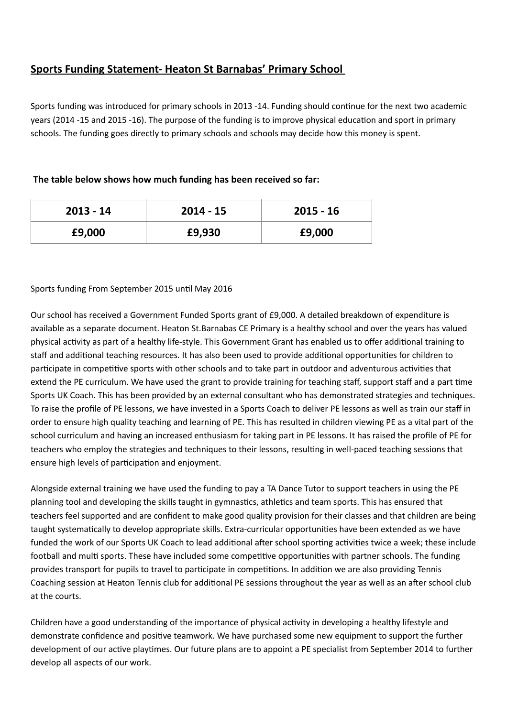# **Sports Funding Statement- Heaton St Barnabas' Primary School**

Sports funding was introduced for primary schools in 2013 -14. Funding should continue for the next two academic years (2014 -15 and 2015 -16). The purpose of the funding is to improve physical education and sport in primary schools. The funding goes directly to primary schools and schools may decide how this money is spent.

## The table below shows how much funding has been received so far:

| $2013 - 14$ | $2014 - 15$ | $2015 - 16$ |
|-------------|-------------|-------------|
| £9,000      | £9,930      | £9,000      |

## Sports funding From September 2015 until May 2016

Our school has received a Government Funded Sports grant of £9,000. A detailed breakdown of expenditure is available as a separate document. Heaton St.Barnabas CE Primary is a healthy school and over the years has valued physical activity as part of a healthy life-style. This Government Grant has enabled us to offer additional training to staff and additional teaching resources. It has also been used to provide additional opportunities for children to participate in competitive sports with other schools and to take part in outdoor and adventurous activities that extend the PE curriculum. We have used the grant to provide training for teaching staff, support staff and a part time Sports UK Coach. This has been provided by an external consultant who has demonstrated strategies and techniques. To raise the profile of PE lessons, we have invested in a Sports Coach to deliver PE lessons as well as train our staff in order to ensure high quality teaching and learning of PE. This has resulted in children viewing PE as a vital part of the school curriculum and having an increased enthusiasm for taking part in PE lessons. It has raised the profile of PE for teachers who employ the strategies and techniques to their lessons, resulting in well-paced teaching sessions that ensure high levels of participation and enjoyment.

Alongside external training we have used the funding to pay a TA Dance Tutor to support teachers in using the PE planning tool and developing the skills taught in gymnastics, athletics and team sports. This has ensured that teachers feel supported and are confident to make good quality provision for their classes and that children are being taught systematically to develop appropriate skills. Extra-curricular opportunities have been extended as we have funded the work of our Sports UK Coach to lead additional after school sporting activities twice a week; these include football and multi sports. These have included some competitive opportunities with partner schools. The funding provides transport for pupils to travel to participate in competitions. In addition we are also providing Tennis Coaching session at Heaton Tennis club for additional PE sessions throughout the vear as well as an after school club at the courts.

Children have a good understanding of the importance of physical activity in developing a healthy lifestyle and demonstrate confidence and positive teamwork. We have purchased some new equipment to support the further development of our active playtimes. Our future plans are to appoint a PE specialist from September 2014 to further develop all aspects of our work.